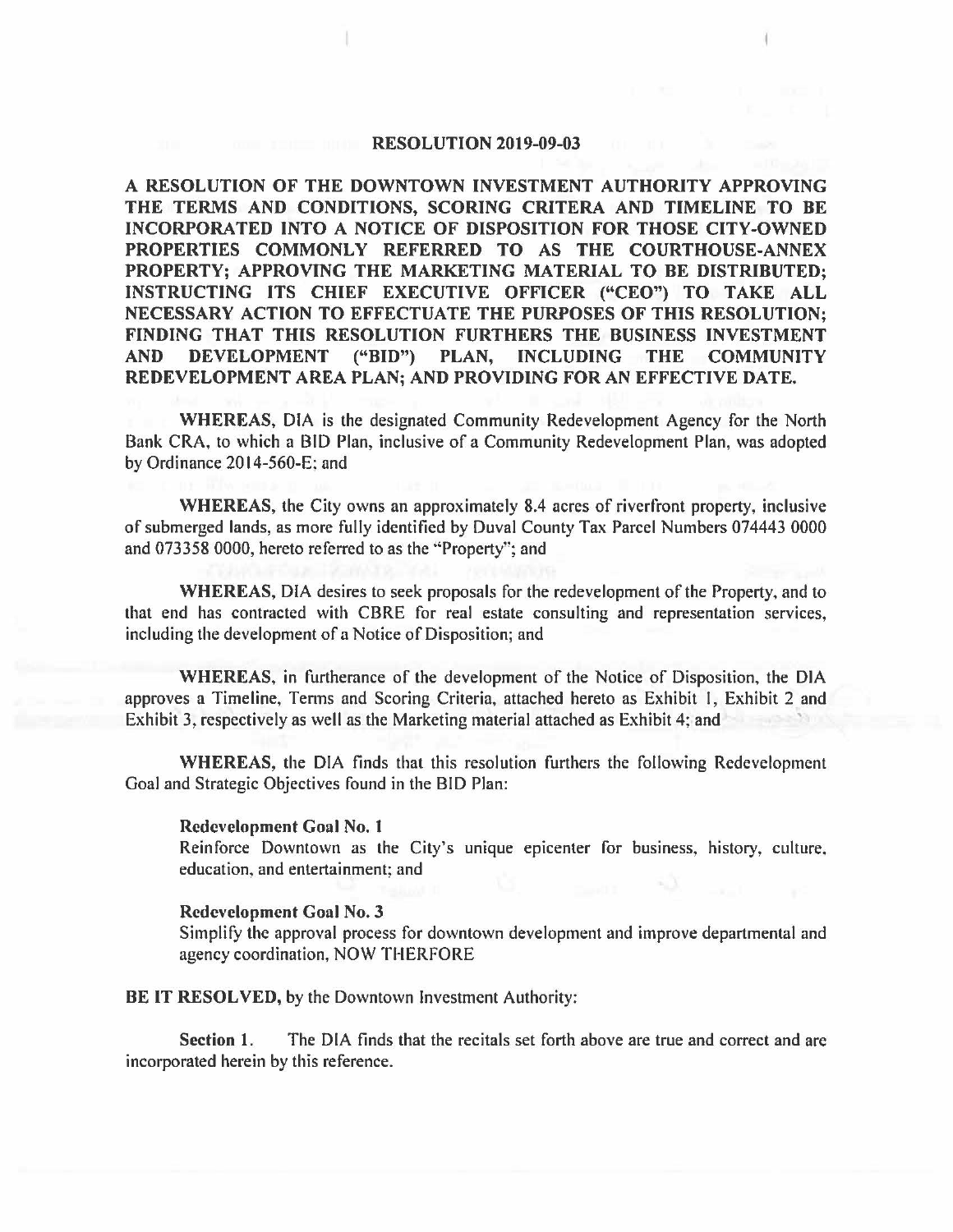#### **RESOLUTION 2019-09-03**

**A RESOLUTION OF THE DOWNTOWN INVESTMENT AUTHORITY APPROVING THE TERMS AND CONDITIONS, SCORING CRITERA AND TIMELINE TO BE INCORPORATED INTO A NOTICE OF DISPOSITION FOR THOSE CITY-OWNED PROPERTIES COMMONLY REFERRED TO AS THE COURTHOUSE-ANNEX PROPERTY; APPROVING THE MARKETING MATERIAL TO BE DISTRIBUTED; INSTRUCTING ITS CHIEF EXECUTIVE OFFICER ("CEO") TO TAKE ALL NECESSARY ACTION TO EFFECTUATE THE PURPOSES OF THIS RESOLUTION; FINDING THAT THIS RESOLUTION FURTHERS THE BUSINESS INVESTMENT AND DEVELOPMENT ("BID") PLAN, INCLUDING THE COMMUNITY REDEVELOPMENT AREA PLAN; AND PROVIDING FOR AN EFFECTIVE DATE.** 

**WHEREAS,** DIA is the designated Community Redevelopment Agency for the North Bank CRA, to which a BID Plan, inclusive of a Community Redevelopment Plan, was adopted by Ordinance  $2014-560-E$ ; and

**WHEREAS,** the City owns an approximately 8.4 acres of riverfront property, inclusive of submerged lands, as more fully identified by Duval County Tax Parcel Numbers 074443 0000 and 073358 0000, hereto referred to as the ·'Property'·; and

**WHEREAS,** DIA desires to seek proposals for the redevelopment of the Property, and to that end has contracted with CBRE for real estate consulting and representation services, including the development of a Notice of Disposition; and

**WHEREAS,** in furtherance of the development of the Notice of Disposition, the DIA approves a Timeline, Terms and Scoring Criteria, attached hereto as Exhibit I, Exhibit 2 and Exhibit 3, respectively as well as the Marketing material attached as Exhibit 4; and

**WHEREAS,** the DIA finds that this resolution furthers the following Redevelopment Goal and Strategic Objectives found in the BID Plan:

#### **Redevelopment Goal No. 1**

Reinforce Downtown as the City's unique epicenter for business, history, culture. education, and entertainment; and

#### **Redevelopment Goal No. 3**

Simplify the approval process for downtown development and improve departmental and agency coordination, NOW THERFORE

**BE IT RESOLVED,** by the Downtown Investment Authority:

**Section 1.** The DIA finds that the recitals set forth above are true and correct and are incorporated herein by this reference.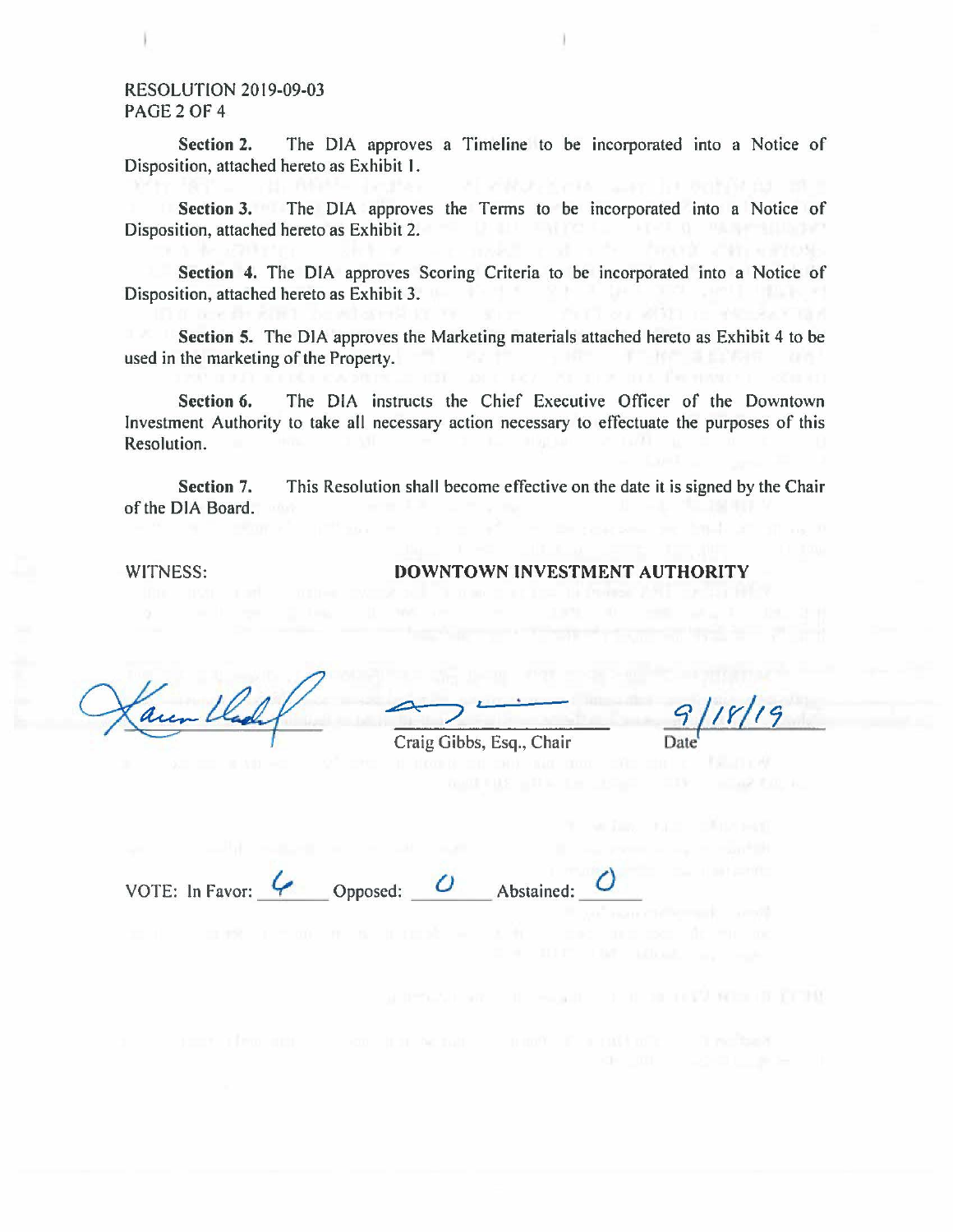#### RESOLUTION 2019-09-03 PAGE<sub>2</sub>OF<sub>4</sub>

**Section 2.** The DIA approves a Timeline to be incorporated into a Notice of Disposition, attached hereto as Exhibit I.

**Section** 3. The DIA approves the Terms to be incorporated into a Notice of Disposition, attached hereto as Exhibit 2.

Section 4. The DIA approves Scoring Criteria to be incorporated into a Notice of ition, attached hereto as Exhibit 3. Disposition, attached hereto as Exhibit 3.

**Section 5.** The DIA approves the Marketing materials attached hereto as Exhibit 4 to be used in the marketing of the Property.

**Section 6.** The DIA instructs the Chief Executive Officer of the Downtown Investment Authority to take all necessary action necessary to effectuate the purposes of this Resolution.

**Section 7.**  of the DIA Board. This Resolution shall become effective on the date it is signed by the Chair

WITNESS:

#### **DOWNTOWN INVESTMENT AUTHORITY**

Craig Gibbs, Esq., Chair

<sup>q</sup>*/1r/J9*  Date<sup>'</sup>

VOTE: In Favor: *\_4'\_,* \_\_ Opposed: *\_\_* 0 \_\_\_ Abstained: \_ () \_\_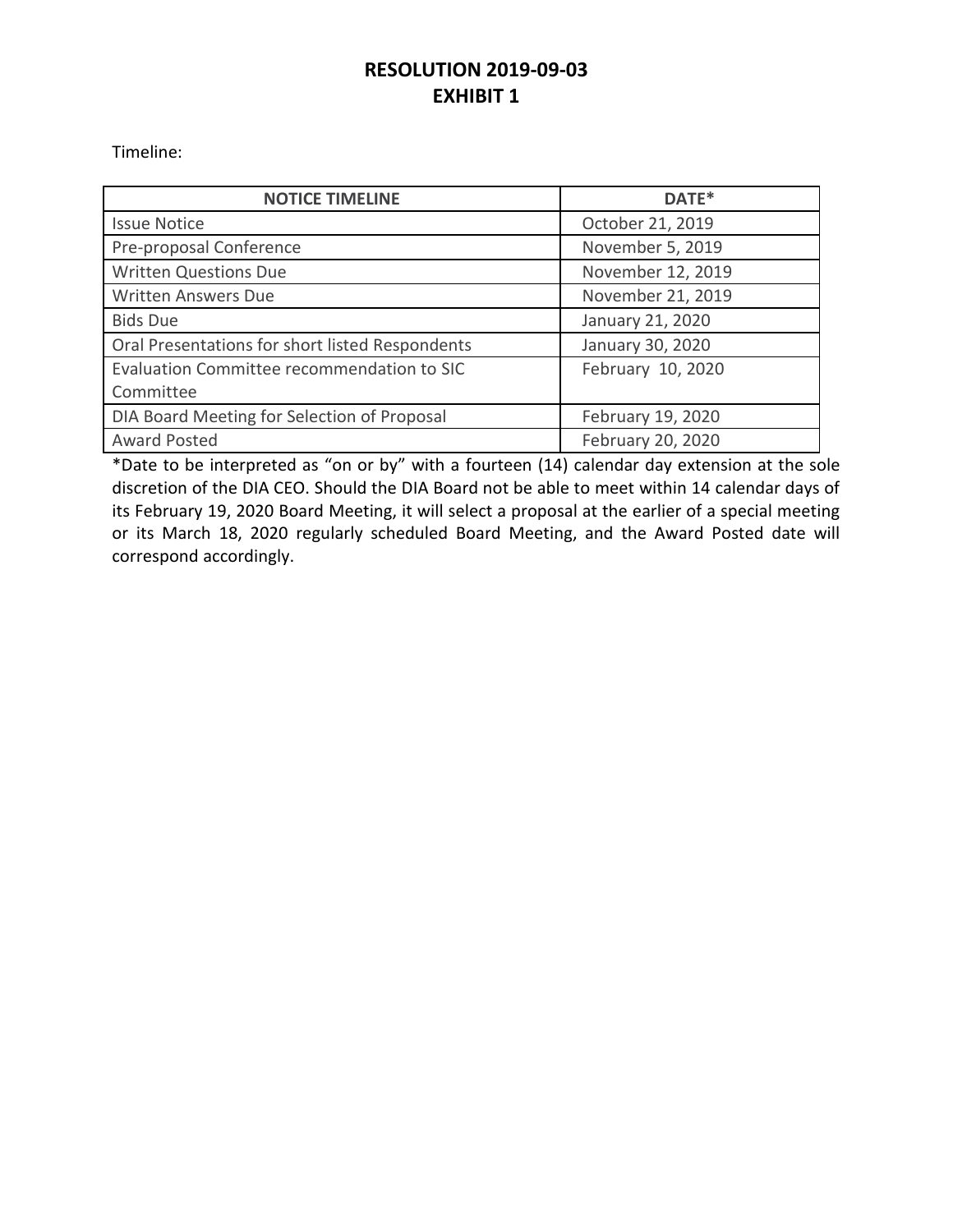# **RESOLUTION 2019-09-03 EXHIBIT 1**

Timeline:

| <b>NOTICE TIMELINE</b>                          | DATE*             |
|-------------------------------------------------|-------------------|
| <b>Issue Notice</b>                             | October 21, 2019  |
| Pre-proposal Conference                         | November 5, 2019  |
| <b>Written Questions Due</b>                    | November 12, 2019 |
| <b>Written Answers Due</b>                      | November 21, 2019 |
| <b>Bids Due</b>                                 | January 21, 2020  |
| Oral Presentations for short listed Respondents | January 30, 2020  |
| Evaluation Committee recommendation to SIC      | February 10, 2020 |
| Committee                                       |                   |
| DIA Board Meeting for Selection of Proposal     | February 19, 2020 |
| <b>Award Posted</b>                             | February 20, 2020 |

\*Date to be interpreted as "on or by" with a fourteen (14) calendar day extension at the sole discretion of the DIA CEO. Should the DIA Board not be able to meet within 14 calendar days of its February 19, 2020 Board Meeting, it will select a proposal at the earlier of a special meeting or its March 18, 2020 regularly scheduled Board Meeting, and the Award Posted date will correspond accordingly.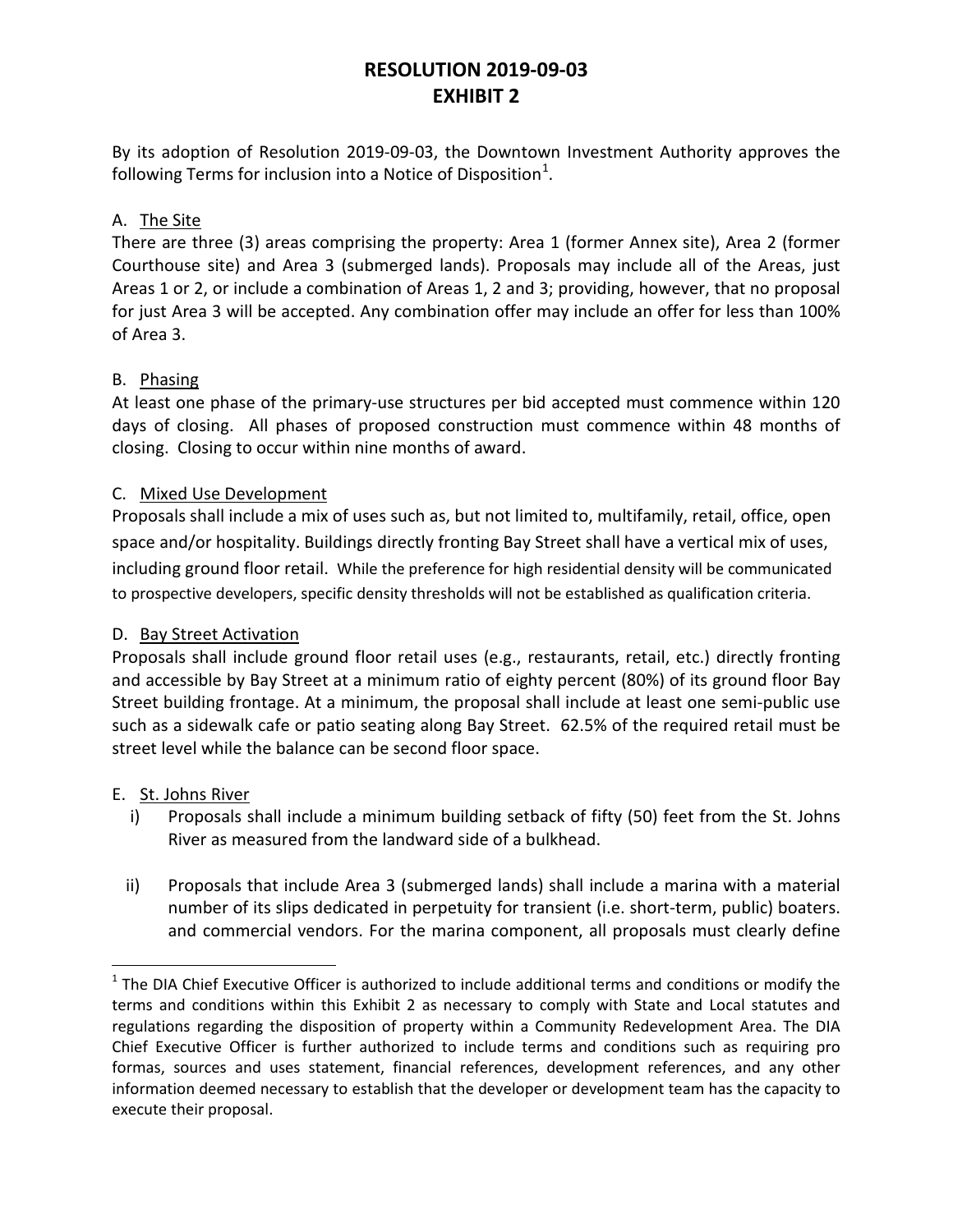# **RESOLUTION 2019-09-03 EXHIBIT 2**

By its adoption of Resolution 2019-09-03, the Downtown Investment Authority approves the following Terms for inclusion into a Notice of Disposition $^1$  $^1$ .

## A. The Site

There are three (3) areas comprising the property: Area 1 (former Annex site), Area 2 (former Courthouse site) and Area 3 (submerged lands). Proposals may include all of the Areas, just Areas 1 or 2, or include a combination of Areas 1, 2 and 3; providing, however, that no proposal for just Area 3 will be accepted. Any combination offer may include an offer for less than 100% of Area 3.

## B. Phasing

At least one phase of the primary-use structures per bid accepted must commence within 120 days of closing. All phases of proposed construction must commence within 48 months of closing. Closing to occur within nine months of award.

## C. Mixed Use Development

Proposals shall include a mix of uses such as, but not limited to, multifamily, retail, office, open space and/or hospitality. Buildings directly fronting Bay Street shall have a vertical mix of uses, including ground floor retail. While the preference for high residential density will be communicated to prospective developers, specific density thresholds will not be established as qualification criteria.

#### D. Bay Street Activation

Proposals shall include ground floor retail uses (e.g., restaurants, retail, etc.) directly fronting and accessible by Bay Street at a minimum ratio of eighty percent (80%) of its ground floor Bay Street building frontage. At a minimum, the proposal shall include at least one semi-public use such as a sidewalk cafe or patio seating along Bay Street. 62.5% of the required retail must be street level while the balance can be second floor space.

#### E. St. Johns River

- i) Proposals shall include a minimum building setback of fifty (50) feet from the St. Johns River as measured from the landward side of a bulkhead.
- ii) Proposals that include Area 3 (submerged lands) shall include a marina with a material number of its slips dedicated in perpetuity for transient (i.e. short-term, public) boaters. and commercial vendors. For the marina component, all proposals must clearly define

<span id="page-3-0"></span> $1$  The DIA Chief Executive Officer is authorized to include additional terms and conditions or modify the terms and conditions within this Exhibit 2 as necessary to comply with State and Local statutes and regulations regarding the disposition of property within a Community Redevelopment Area. The DIA Chief Executive Officer is further authorized to include terms and conditions such as requiring pro formas, sources and uses statement, financial references, development references, and any other information deemed necessary to establish that the developer or development team has the capacity to execute their proposal.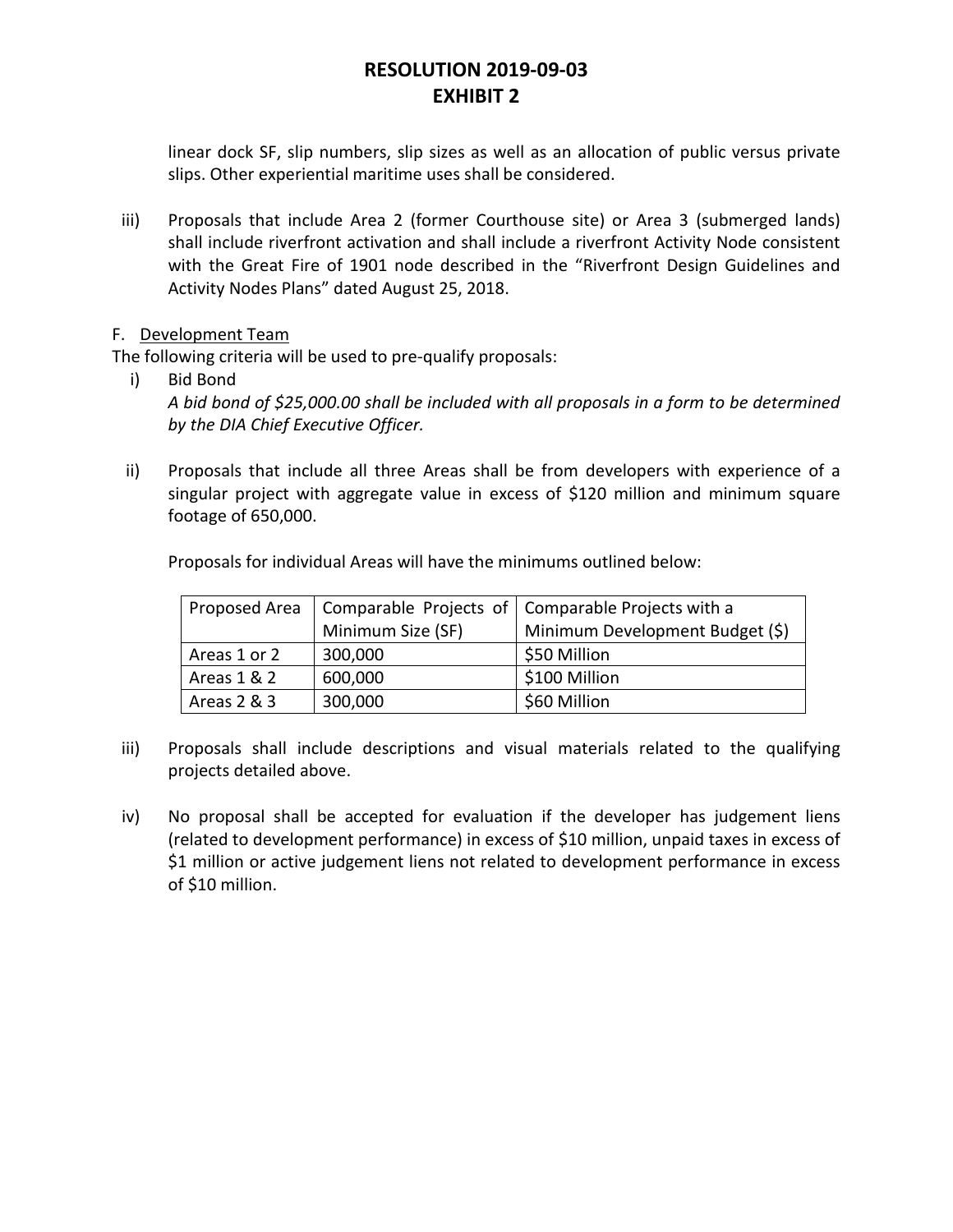# **RESOLUTION 2019-09-03 EXHIBIT 2**

linear dock SF, slip numbers, slip sizes as well as an allocation of public versus private slips. Other experiential maritime uses shall be considered.

iii) Proposals that include Area 2 (former Courthouse site) or Area 3 (submerged lands) shall include riverfront activation and shall include a riverfront Activity Node consistent with the Great Fire of 1901 node described in the "Riverfront Design Guidelines and Activity Nodes Plans" dated August 25, 2018.

## F. Development Team

The following criteria will be used to pre-qualify proposals:

- i) Bid Bond *A bid bond of \$25,000.00 shall be included with all proposals in a form to be determined by the DIA Chief Executive Officer.*
- ii) Proposals that include all three Areas shall be from developers with experience of a singular project with aggregate value in excess of \$120 million and minimum square footage of 650,000.

Proposals for individual Areas will have the minimums outlined below:

| Proposed Area |                   | Comparable Projects of Comparable Projects with a |
|---------------|-------------------|---------------------------------------------------|
|               | Minimum Size (SF) | Minimum Development Budget (\$)                   |
| Areas 1 or 2  | 300,000           | \$50 Million                                      |
| Areas 1 & 2   | 600,000           | \$100 Million                                     |
| Areas 2 & 3   | 300,000           | \$60 Million                                      |

- iii) Proposals shall include descriptions and visual materials related to the qualifying projects detailed above.
- iv) No proposal shall be accepted for evaluation if the developer has judgement liens (related to development performance) in excess of \$10 million, unpaid taxes in excess of \$1 million or active judgement liens not related to development performance in excess of \$10 million.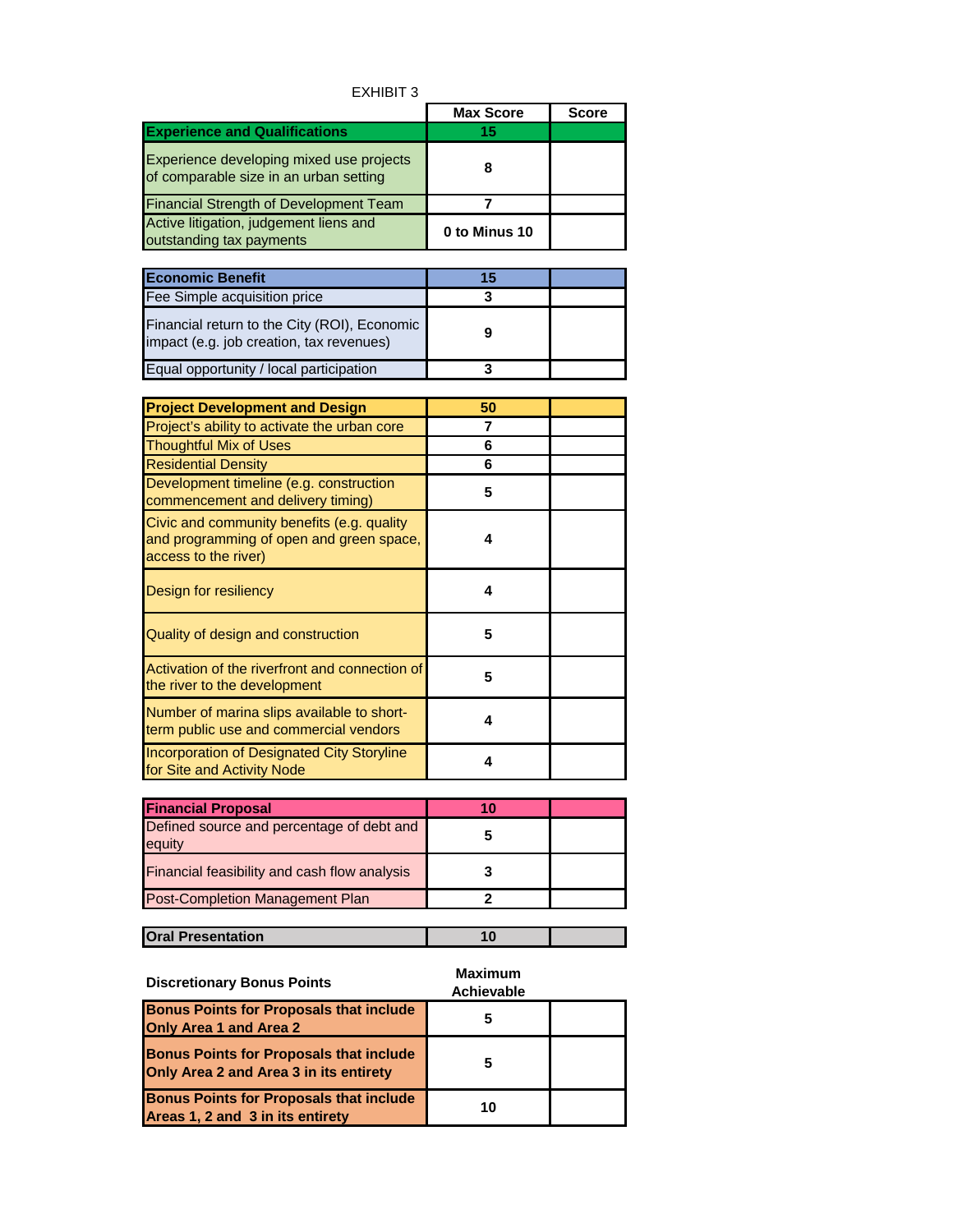| EXHIBIT 3 |
|-----------|
|-----------|

|                                                                                    | <b>Max Score</b> | Score |
|------------------------------------------------------------------------------------|------------------|-------|
| <b>Experience and Qualifications</b>                                               | 15               |       |
| Experience developing mixed use projects<br>of comparable size in an urban setting |                  |       |
| <b>Financial Strength of Development Team</b>                                      |                  |       |
| Active litigation, judgement liens and<br>outstanding tax payments                 | 0 to Minus 10    |       |

| <b>Economic Benefit</b>                                                                  | 15 |  |
|------------------------------------------------------------------------------------------|----|--|
| Fee Simple acquisition price                                                             |    |  |
| Financial return to the City (ROI), Economic<br>impact (e.g. job creation, tax revenues) |    |  |
| Equal opportunity / local participation                                                  |    |  |

| <b>Project Development and Design</b>                                                                          | 50 |  |
|----------------------------------------------------------------------------------------------------------------|----|--|
| Project's ability to activate the urban core                                                                   | 7  |  |
| <b>Thoughtful Mix of Uses</b>                                                                                  | 6  |  |
| <b>Residential Density</b>                                                                                     | 6  |  |
| Development timeline (e.g. construction<br>commencement and delivery timing)                                   | 5  |  |
| Civic and community benefits (e.g. quality<br>and programming of open and green space,<br>access to the river) | 4  |  |
| Design for resiliency                                                                                          | 4  |  |
| Quality of design and construction                                                                             | 5  |  |
| Activation of the riverfront and connection of<br>the river to the development                                 | 5  |  |
| Number of marina slips available to short-<br>term public use and commercial vendors                           | 4  |  |
| Incorporation of Designated City Storyline<br>for Site and Activity Node                                       | 4  |  |

| <b>Financial Proposal</b>                           | 10 |  |
|-----------------------------------------------------|----|--|
| Defined source and percentage of debt and<br>equity |    |  |
| Financial feasibility and cash flow analysis        |    |  |
| <b>Post-Completion Management Plan</b>              |    |  |

| <b>Oral Presentation</b> |         |  |
|--------------------------|---------|--|
|                          |         |  |
|                          | Mavimum |  |

| <b>Discretionary Bonus Points</b>                                                        | Maximum<br><b>Achievable</b> |  |
|------------------------------------------------------------------------------------------|------------------------------|--|
| <b>Bonus Points for Proposals that include</b><br><b>Only Area 1 and Area 2</b>          | C                            |  |
| <b>Bonus Points for Proposals that include</b><br>Only Area 2 and Area 3 in its entirety | 5                            |  |
| <b>Bonus Points for Proposals that include</b><br>Areas 1, 2 and 3 in its entirety       | 10                           |  |